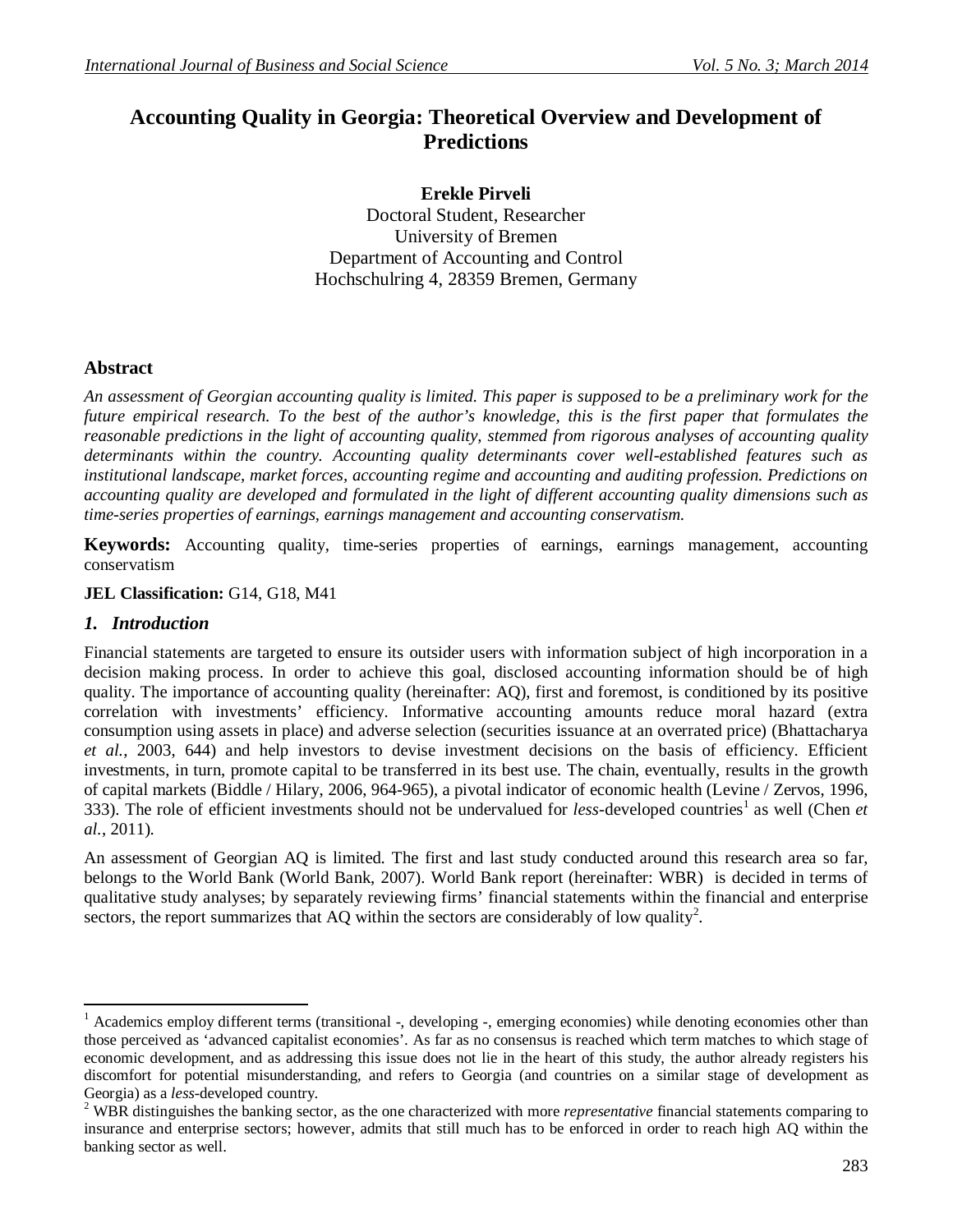# **Accounting Quality in Georgia: Theoretical Overview and Development of Predictions**

**Erekle Pirveli** Doctoral Student, Researcher University of Bremen Department of Accounting and Control Hochschulring 4, 28359 Bremen, Germany

# **Abstract**

*An assessment of Georgian accounting quality is limited. This paper is supposed to be a preliminary work for the future empirical research. To the best of the author's knowledge, this is the first paper that formulates the reasonable predictions in the light of accounting quality, stemmed from rigorous analyses of accounting quality determinants within the country. Accounting quality determinants cover well-established features such as institutional landscape, market forces, accounting regime and accounting and auditing profession. Predictions on accounting quality are developed and formulated in the light of different accounting quality dimensions such as time-series properties of earnings, earnings management and accounting conservatism.*

**Keywords:** Accounting quality, time-series properties of earnings, earnings management, accounting conservatism

**JEL Classification:** G14, G18, M41

#### *1. Introduction*

 $\overline{\phantom{a}}$ 

Financial statements are targeted to ensure its outsider users with information subject of high incorporation in a decision making process. In order to achieve this goal, disclosed accounting information should be of high quality. The importance of accounting quality (hereinafter: AQ), first and foremost, is conditioned by its positive correlation with investments' efficiency. Informative accounting amounts reduce moral hazard (extra consumption using assets in place) and adverse selection (securities issuance at an overrated price) (Bhattacharya *et al.*, 2003, 644) and help investors to devise investment decisions on the basis of efficiency. Efficient investments, in turn, promote capital to be transferred in its best use. The chain, eventually, results in the growth of capital markets (Biddle / Hilary, 2006, 964-965), a pivotal indicator of economic health (Levine / Zervos, 1996, 333). The role of efficient investments should not be undervalued for *less*-developed countries<sup>1</sup> as well (Chen *et al.*, 2011).

An assessment of Georgian AQ is limited. The first and last study conducted around this research area so far, belongs to the World Bank (World Bank, 2007). World Bank report (hereinafter: WBR) is decided in terms of qualitative study analyses; by separately reviewing firms' financial statements within the financial and enterprise sectors, the report summarizes that AQ within the sectors are considerably of low quality<sup>2</sup>.

<sup>&</sup>lt;sup>1</sup> Academics employ different terms (transitional  $-$ , developing  $-$ , emerging economies) while denoting economies other than those perceived as 'advanced capitalist economies'. As far as no consensus is reached which term matches to which stage of economic development, and as addressing this issue does not lie in the heart of this study, the author already registers his discomfort for potential misunderstanding, and refers to Georgia (and countries on a similar stage of development as Georgia) as a *less*-developed country.

<sup>2</sup> WBR distinguishes the banking sector, as the one characterized with more *representative* financial statements comparing to insurance and enterprise sectors; however, admits that still much has to be enforced in order to reach high AQ within the banking sector as well.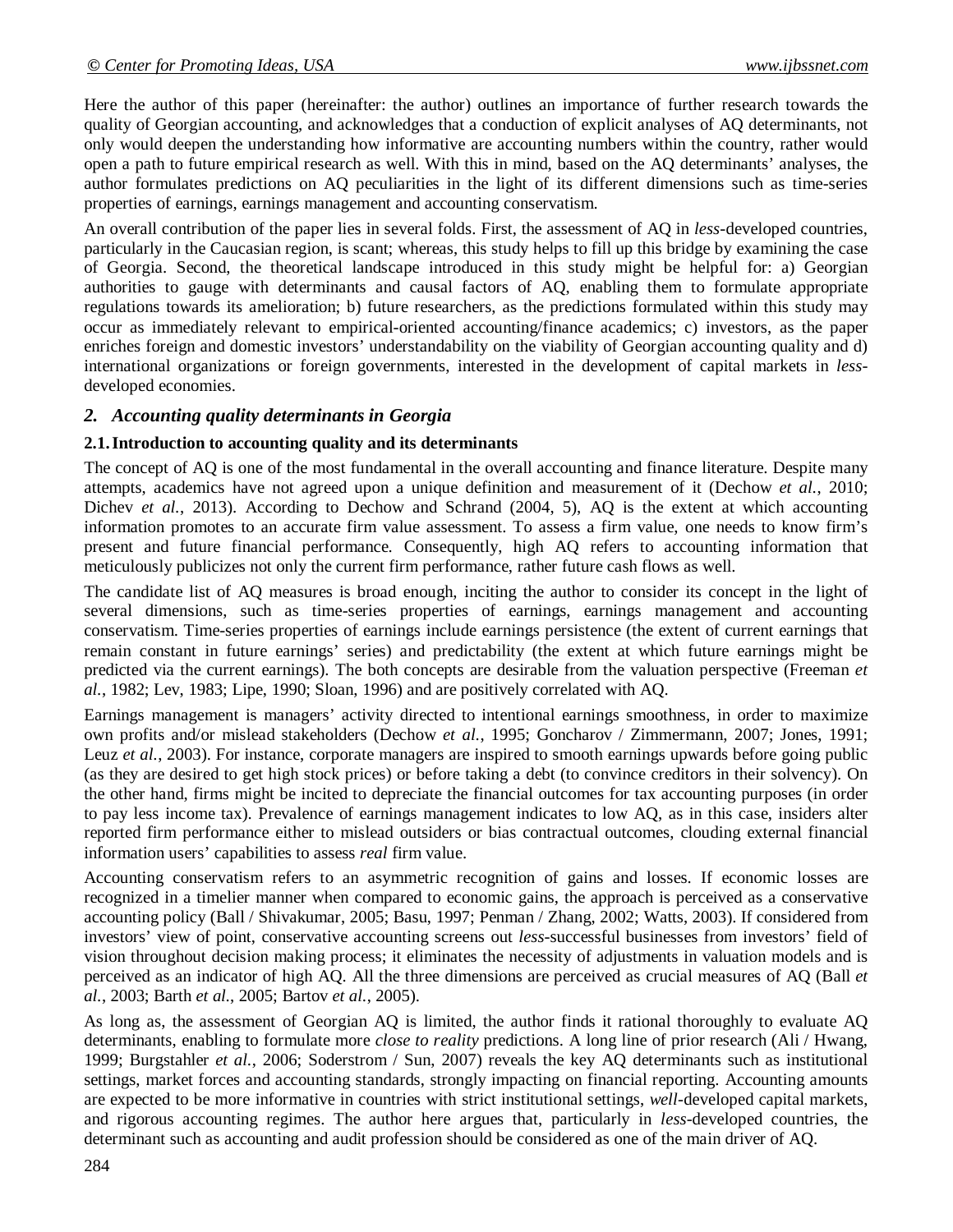Here the author of this paper (hereinafter: the author) outlines an importance of further research towards the quality of Georgian accounting, and acknowledges that a conduction of explicit analyses of AQ determinants, not only would deepen the understanding how informative are accounting numbers within the country, rather would open a path to future empirical research as well. With this in mind, based on the AQ determinants' analyses, the author formulates predictions on AQ peculiarities in the light of its different dimensions such as time-series properties of earnings, earnings management and accounting conservatism.

An overall contribution of the paper lies in several folds. First, the assessment of AQ in *less*-developed countries, particularly in the Caucasian region, is scant; whereas, this study helps to fill up this bridge by examining the case of Georgia. Second, the theoretical landscape introduced in this study might be helpful for: a) Georgian authorities to gauge with determinants and causal factors of AQ, enabling them to formulate appropriate regulations towards its amelioration; b) future researchers, as the predictions formulated within this study may occur as immediately relevant to empirical-oriented accounting/finance academics; c) investors, as the paper enriches foreign and domestic investors' understandability on the viability of Georgian accounting quality and d) international organizations or foreign governments, interested in the development of capital markets in *less*developed economies.

# *2. Accounting quality determinants in Georgia*

#### **2.1.Introduction to accounting quality and its determinants**

The concept of AQ is one of the most fundamental in the overall accounting and finance literature. Despite many attempts, academics have not agreed upon a unique definition and measurement of it (Dechow *et al.*, 2010; Dichev *et al.*, 2013). According to Dechow and Schrand (2004, 5), AQ is the extent at which accounting information promotes to an accurate firm value assessment. To assess a firm value, one needs to know firm's present and future financial performance. Consequently, high AQ refers to accounting information that meticulously publicizes not only the current firm performance, rather future cash flows as well.

The candidate list of AQ measures is broad enough, inciting the author to consider its concept in the light of several dimensions, such as time-series properties of earnings, earnings management and accounting conservatism. Time-series properties of earnings include earnings persistence (the extent of current earnings that remain constant in future earnings' series) and predictability (the extent at which future earnings might be predicted via the current earnings). The both concepts are desirable from the valuation perspective (Freeman *et al.*, 1982; Lev, 1983; Lipe, 1990; Sloan, 1996) and are positively correlated with AQ.

Earnings management is managers' activity directed to intentional earnings smoothness, in order to maximize own profits and/or mislead stakeholders (Dechow *et al.*, 1995; Goncharov / Zimmermann, 2007; Jones, 1991; Leuz *et al.*, 2003). For instance, corporate managers are inspired to smooth earnings upwards before going public (as they are desired to get high stock prices) or before taking a debt (to convince creditors in their solvency). On the other hand, firms might be incited to depreciate the financial outcomes for tax accounting purposes (in order to pay less income tax). Prevalence of earnings management indicates to low AQ, as in this case, insiders alter reported firm performance either to mislead outsiders or bias contractual outcomes, clouding external financial information users' capabilities to assess *real* firm value.

Accounting conservatism refers to an asymmetric recognition of gains and losses. If economic losses are recognized in a timelier manner when compared to economic gains, the approach is perceived as a conservative accounting policy (Ball / Shivakumar, 2005; Basu, 1997; Penman / Zhang, 2002; Watts, 2003). If considered from investors' view of point, conservative accounting screens out *less*-successful businesses from investors' field of vision throughout decision making process; it eliminates the necessity of adjustments in valuation models and is perceived as an indicator of high AQ. All the three dimensions are perceived as crucial measures of AQ (Ball *et al.*, 2003; Barth *et al.*, 2005; Bartov *et al.*, 2005).

As long as, the assessment of Georgian AQ is limited, the author finds it rational thoroughly to evaluate AQ determinants, enabling to formulate more *close to reality* predictions. A long line of prior research (Ali / Hwang, 1999; Burgstahler *et al.*, 2006; Soderstrom / Sun, 2007) reveals the key AQ determinants such as institutional settings, market forces and accounting standards, strongly impacting on financial reporting. Accounting amounts are expected to be more informative in countries with strict institutional settings, *well*-developed capital markets, and rigorous accounting regimes. The author here argues that, particularly in *less*-developed countries, the determinant such as accounting and audit profession should be considered as one of the main driver of AQ.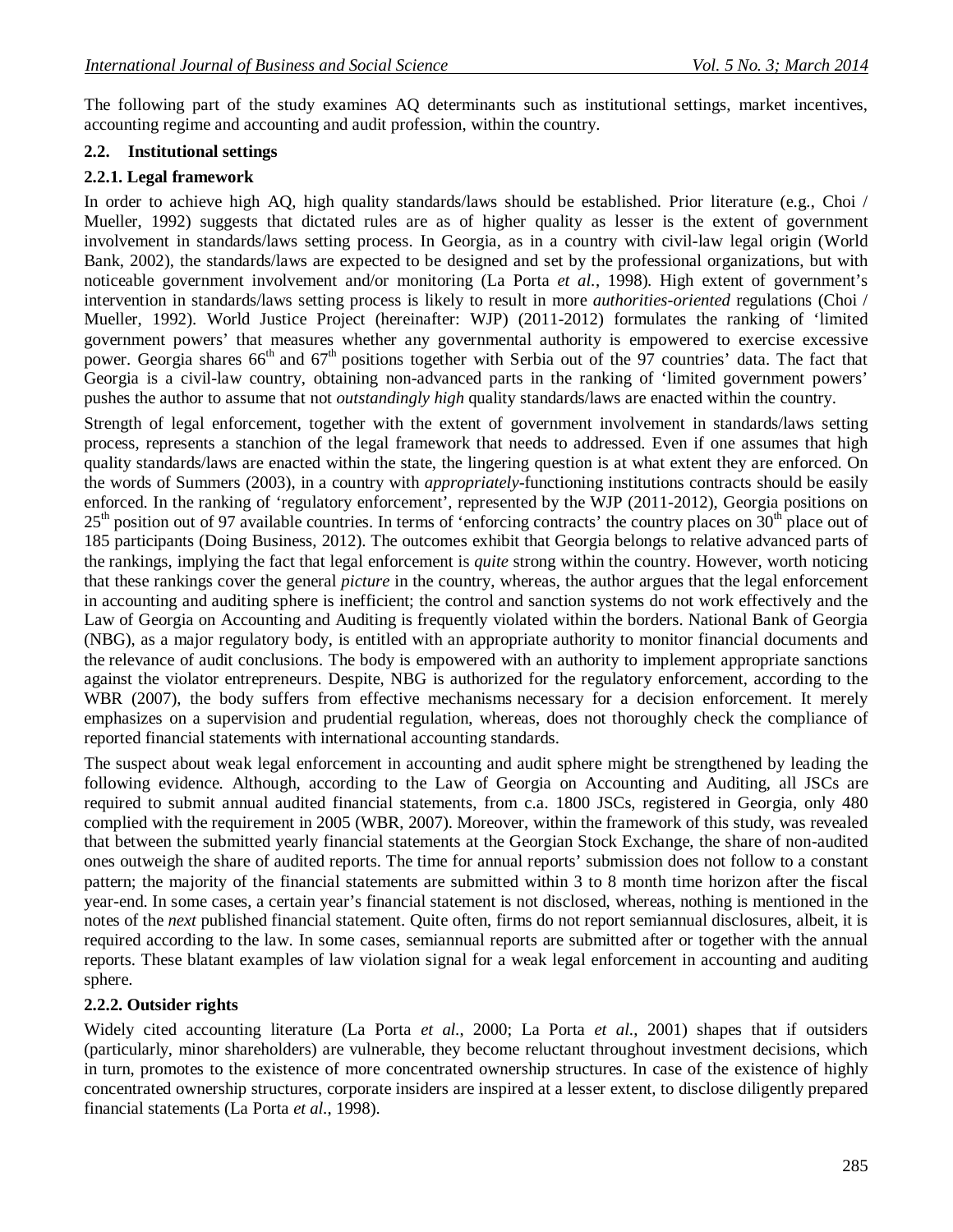The following part of the study examines AQ determinants such as institutional settings, market incentives, accounting regime and accounting and audit profession, within the country.

#### **2.2. Institutional settings**

#### **2.2.1. Legal framework**

In order to achieve high AQ, high quality standards/laws should be established. Prior literature (e.g., Choi / Mueller, 1992) suggests that dictated rules are as of higher quality as lesser is the extent of government involvement in standards/laws setting process. In Georgia, as in a country with civil-law legal origin (World Bank, 2002), the standards/laws are expected to be designed and set by the professional organizations, but with noticeable government involvement and/or monitoring (La Porta *et al.*, 1998). High extent of government's intervention in standards/laws setting process is likely to result in more *authorities-oriented* regulations (Choi / Mueller, 1992). World Justice Project (hereinafter: WJP) (2011-2012) formulates the ranking of 'limited government powers' that measures whether any governmental authority is empowered to exercise excessive power. Georgia shares 66<sup>th</sup> and 67<sup>th</sup> positions together with Serbia out of the 97 countries' data. The fact that Georgia is a civil-law country, obtaining non-advanced parts in the ranking of 'limited government powers' pushes the author to assume that not *outstandingly high* quality standards/laws are enacted within the country.

Strength of legal enforcement, together with the extent of government involvement in standards/laws setting process, represents a stanchion of the legal framework that needs to addressed. Even if one assumes that high quality standards/laws are enacted within the state, the lingering question is at what extent they are enforced. On the words of Summers (2003), in a country with *appropriately*-functioning institutions contracts should be easily enforced. In the ranking of 'regulatory enforcement', represented by the WJP (2011-2012), Georgia positions on  $25<sup>th</sup>$  position out of 97 available countries. In terms of 'enforcing contracts' the country places on 30<sup>th</sup> place out of 185 participants (Doing Business, 2012). The outcomes exhibit that Georgia belongs to relative advanced parts of the rankings, implying the fact that legal enforcement is *quite* strong within the country. However, worth noticing that these rankings cover the general *picture* in the country, whereas, the author argues that the legal enforcement in accounting and auditing sphere is inefficient; the control and sanction systems do not work effectively and the Law of Georgia on Accounting and Auditing is frequently violated within the borders. National Bank of Georgia (NBG), as a major regulatory body, is entitled with an appropriate authority to monitor financial documents and the relevance of audit conclusions. The body is empowered with an authority to implement appropriate sanctions against the violator entrepreneurs. Despite, NBG is authorized for the regulatory enforcement, according to the WBR (2007), the body suffers from effective mechanisms necessary for a decision enforcement. It merely emphasizes on a supervision and prudential regulation, whereas, does not thoroughly check the compliance of reported financial statements with international accounting standards.

The suspect about weak legal enforcement in accounting and audit sphere might be strengthened by leading the following evidence. Although, according to the Law of Georgia on Accounting and Auditing, all JSCs are required to submit annual audited financial statements, from c.a. 1800 JSCs, registered in Georgia, only 480 complied with the requirement in 2005 (WBR, 2007). Moreover, within the framework of this study, was revealed that between the submitted yearly financial statements at the Georgian Stock Exchange, the share of non-audited ones outweigh the share of audited reports. The time for annual reports' submission does not follow to a constant pattern; the majority of the financial statements are submitted within 3 to 8 month time horizon after the fiscal year-end. In some cases, a certain year's financial statement is not disclosed, whereas, nothing is mentioned in the notes of the *next* published financial statement. Quite often, firms do not report semiannual disclosures, albeit, it is required according to the law. In some cases, semiannual reports are submitted after or together with the annual reports. These blatant examples of law violation signal for a weak legal enforcement in accounting and auditing sphere.

#### **2.2.2. Outsider rights**

Widely cited accounting literature (La Porta *et al.*, 2000; La Porta *et al.*, 2001) shapes that if outsiders (particularly, minor shareholders) are vulnerable, they become reluctant throughout investment decisions, which in turn, promotes to the existence of more concentrated ownership structures. In case of the existence of highly concentrated ownership structures, corporate insiders are inspired at a lesser extent, to disclose diligently prepared financial statements (La Porta *et al.*, 1998).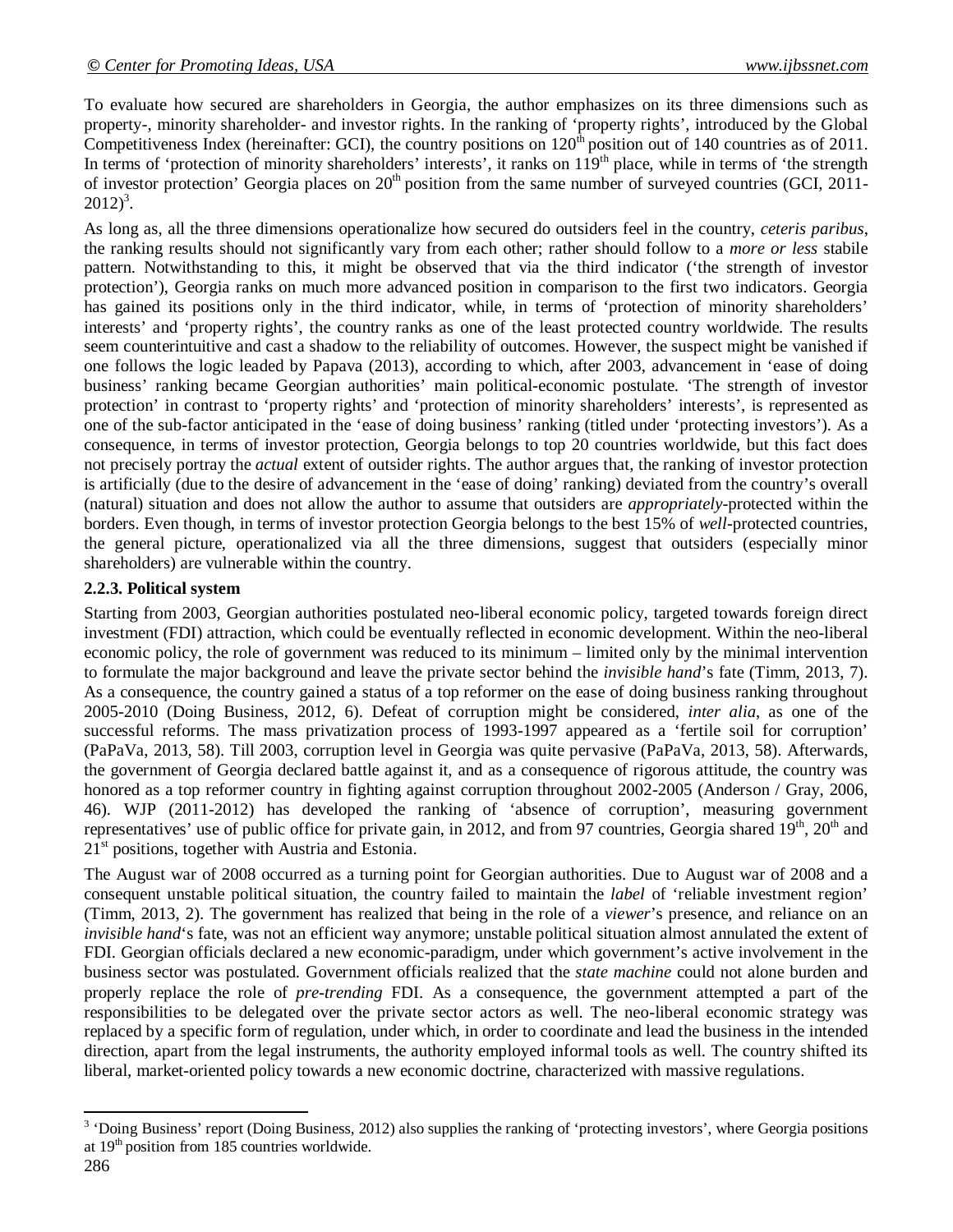To evaluate how secured are shareholders in Georgia, the author emphasizes on its three dimensions such as property-, minority shareholder- and investor rights. In the ranking of 'property rights', introduced by the Global Competitiveness Index (hereinafter: GCI), the country positions on  $120<sup>th</sup>$  position out of 140 countries as of 2011. In terms of 'protection of minority shareholders' interests', it ranks on  $119<sup>th</sup>$  place, while in terms of 'the strength of investor protection' Georgia places on  $20<sup>th</sup>$  position from the same number of surveyed countries (GCI, 2011- $2012)^3$ .

As long as, all the three dimensions operationalize how secured do outsiders feel in the country, *ceteris paribus*, the ranking results should not significantly vary from each other; rather should follow to a *more or less* stabile pattern. Notwithstanding to this, it might be observed that via the third indicator ('the strength of investor protection'), Georgia ranks on much more advanced position in comparison to the first two indicators. Georgia has gained its positions only in the third indicator, while, in terms of 'protection of minority shareholders' interests' and 'property rights', the country ranks as one of the least protected country worldwide. The results seem counterintuitive and cast a shadow to the reliability of outcomes. However, the suspect might be vanished if one follows the logic leaded by Papava (2013), according to which, after 2003, advancement in 'ease of doing business' ranking became Georgian authorities' main political-economic postulate. 'The strength of investor protection' in contrast to 'property rights' and 'protection of minority shareholders' interests', is represented as one of the sub-factor anticipated in the 'ease of doing business' ranking (titled under 'protecting investors'). As a consequence, in terms of investor protection, Georgia belongs to top 20 countries worldwide, but this fact does not precisely portray the *actual* extent of outsider rights. The author argues that, the ranking of investor protection is artificially (due to the desire of advancement in the 'ease of doing' ranking) deviated from the country's overall (natural) situation and does not allow the author to assume that outsiders are *appropriately*-protected within the borders. Even though, in terms of investor protection Georgia belongs to the best 15% of *well-*protected countries, the general picture, operationalized via all the three dimensions, suggest that outsiders (especially minor shareholders) are vulnerable within the country.

# **2.2.3. Political system**

Starting from 2003, Georgian authorities postulated neo-liberal economic policy, targeted towards foreign direct investment (FDI) attraction, which could be eventually reflected in economic development. Within the neo-liberal economic policy, the role of government was reduced to its minimum – limited only by the minimal intervention to formulate the major background and leave the private sector behind the *invisible hand*'s fate (Timm, 2013, 7). As a consequence, the country gained a status of a top reformer on the ease of doing business ranking throughout 2005-2010 (Doing Business, 2012, 6). Defeat of corruption might be considered, *inter alia*, as one of the successful reforms. The mass privatization process of 1993-1997 appeared as a 'fertile soil for corruption' (PaPaVa, 2013, 58). Till 2003, corruption level in Georgia was quite pervasive (PaPaVa, 2013, 58). Afterwards, the government of Georgia declared battle against it, and as a consequence of rigorous attitude, the country was honored as a top reformer country in fighting against corruption throughout 2002-2005 (Anderson / Gray, 2006, 46). WJP (2011-2012) has developed the ranking of 'absence of corruption', measuring government representatives' use of public office for private gain, in 2012, and from 97 countries, Georgia shared  $19<sup>th</sup>$ ,  $20<sup>th</sup>$  and  $21<sup>st</sup>$  positions, together with Austria and Estonia.

The August war of 2008 occurred as a turning point for Georgian authorities. Due to August war of 2008 and a consequent unstable political situation, the country failed to maintain the *label* of 'reliable investment region' (Timm, 2013, 2). The government has realized that being in the role of a *viewer*'s presence, and reliance on an *invisible hand*'s fate, was not an efficient way anymore; unstable political situation almost annulated the extent of FDI. Georgian officials declared a new economic-paradigm, under which government's active involvement in the business sector was postulated. Government officials realized that the *state machine* could not alone burden and properly replace the role of *pre-trending* FDI. As a consequence, the government attempted a part of the responsibilities to be delegated over the private sector actors as well. The neo-liberal economic strategy was replaced by a specific form of regulation, under which, in order to coordinate and lead the business in the intended direction, apart from the legal instruments, the authority employed informal tools as well. The country shifted its liberal, market-oriented policy towards a new economic doctrine, characterized with massive regulations.

<sup>&</sup>lt;sup>3</sup> 'Doing Business' report (Doing Business, 2012) also supplies the ranking of 'protecting investors', where Georgia positions at 19<sup>th</sup> position from 185 countries worldwide.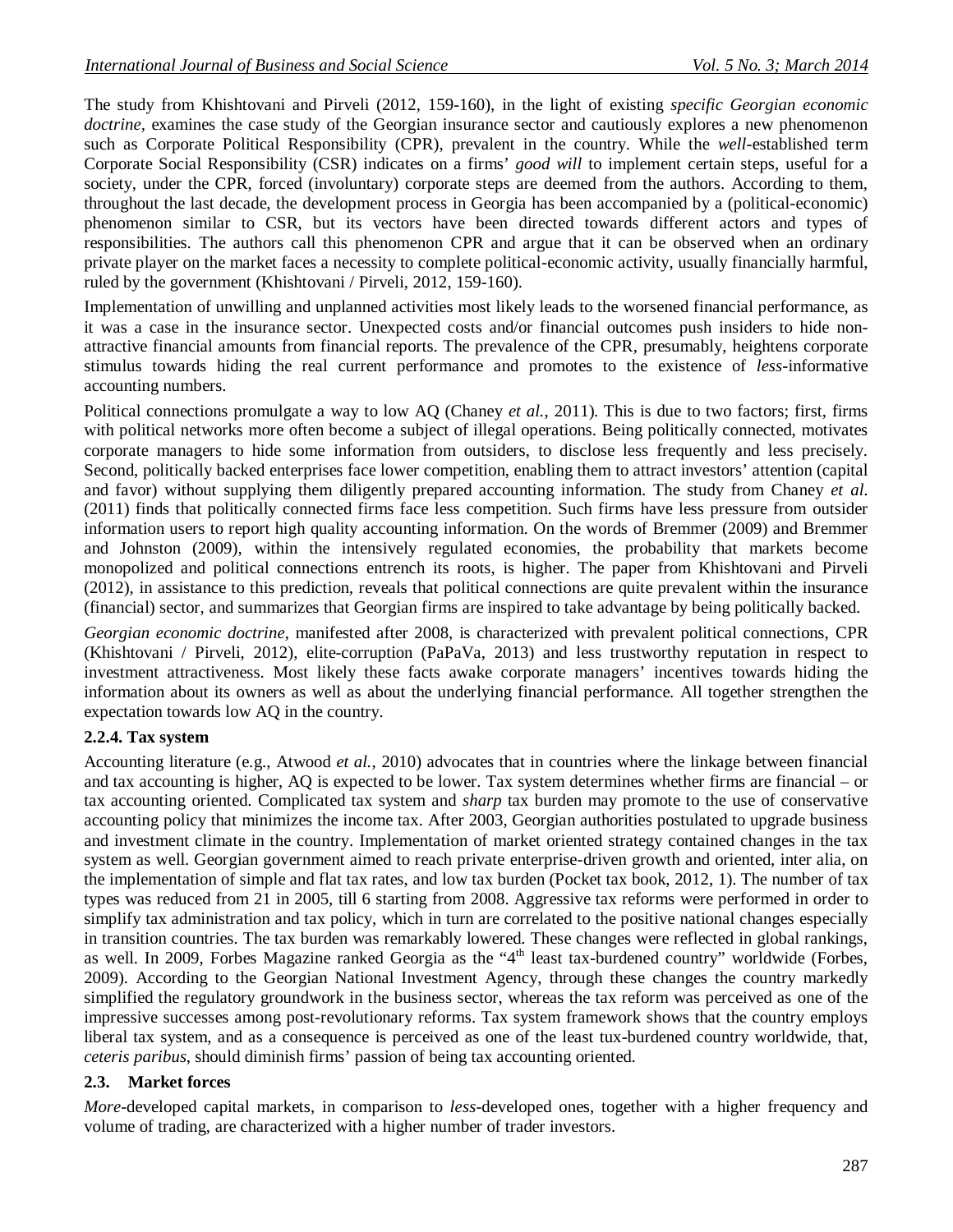The study from Khishtovani and Pirveli (2012, 159-160), in the light of existing *specific Georgian economic doctrine*, examines the case study of the Georgian insurance sector and cautiously explores a new phenomenon such as Corporate Political Responsibility (CPR), prevalent in the country. While the *well*-established term Corporate Social Responsibility (CSR) indicates on a firms' *good will* to implement certain steps, useful for a society, under the CPR, forced (involuntary) corporate steps are deemed from the authors. According to them, throughout the last decade, the development process in Georgia has been accompanied by a (political-economic) phenomenon similar to CSR, but its vectors have been directed towards different actors and types of responsibilities. The authors call this phenomenon CPR and argue that it can be observed when an ordinary private player on the market faces a necessity to complete political-economic activity, usually financially harmful, ruled by the government (Khishtovani / Pirveli, 2012, 159-160).

Implementation of unwilling and unplanned activities most likely leads to the worsened financial performance, as it was a case in the insurance sector. Unexpected costs and/or financial outcomes push insiders to hide nonattractive financial amounts from financial reports. The prevalence of the CPR, presumably, heightens corporate stimulus towards hiding the real current performance and promotes to the existence of *less*-informative accounting numbers.

Political connections promulgate a way to low AQ (Chaney *et al.*, 2011). This is due to two factors; first, firms with political networks more often become a subject of illegal operations. Being politically connected, motivates corporate managers to hide some information from outsiders, to disclose less frequently and less precisely. Second, politically backed enterprises face lower competition, enabling them to attract investors' attention (capital and favor) without supplying them diligently prepared accounting information. The study from Chaney *et al.* (2011) finds that politically connected firms face less competition. Such firms have less pressure from outsider information users to report high quality accounting information. On the words of Bremmer (2009) and Bremmer and Johnston (2009), within the intensively regulated economies, the probability that markets become monopolized and political connections entrench its roots, is higher. The paper from Khishtovani and Pirveli (2012), in assistance to this prediction, reveals that political connections are quite prevalent within the insurance (financial) sector, and summarizes that Georgian firms are inspired to take advantage by being politically backed.

*Georgian economic doctrine*, manifested after 2008, is characterized with prevalent political connections, CPR (Khishtovani / Pirveli, 2012), elite-corruption (PaPaVa, 2013) and less trustworthy reputation in respect to investment attractiveness. Most likely these facts awake corporate managers' incentives towards hiding the information about its owners as well as about the underlying financial performance. All together strengthen the expectation towards low AQ in the country.

# **2.2.4. Tax system**

Accounting literature (e.g., Atwood *et al.*, 2010) advocates that in countries where the linkage between financial and tax accounting is higher, AQ is expected to be lower. Tax system determines whether firms are financial – or tax accounting oriented. Complicated tax system and *sharp* tax burden may promote to the use of conservative accounting policy that minimizes the income tax. After 2003, Georgian authorities postulated to upgrade business and investment climate in the country. Implementation of market oriented strategy contained changes in the tax system as well. Georgian government aimed to reach private enterprise-driven growth and oriented, inter alia, on the implementation of simple and flat tax rates, and low tax burden (Pocket tax book, 2012, 1). The number of tax types was reduced from 21 in 2005, till 6 starting from 2008. Aggressive tax reforms were performed in order to simplify tax administration and tax policy, which in turn are correlated to the positive national changes especially in transition countries. The tax burden was remarkably lowered. These changes were reflected in global rankings, as well. In 2009, Forbes Magazine ranked Georgia as the "4<sup>th</sup> least tax-burdened country" worldwide (Forbes, 2009). According to the Georgian National Investment Agency, through these changes the country markedly simplified the regulatory groundwork in the business sector, whereas the tax reform was perceived as one of the impressive successes among post-revolutionary reforms. Tax system framework shows that the country employs liberal tax system, and as a consequence is perceived as one of the least tux-burdened country worldwide, that, *ceteris paribus*, should diminish firms' passion of being tax accounting oriented.

# **2.3. Market forces**

*More*-developed capital markets, in comparison to *less*-developed ones, together with a higher frequency and volume of trading, are characterized with a higher number of trader investors.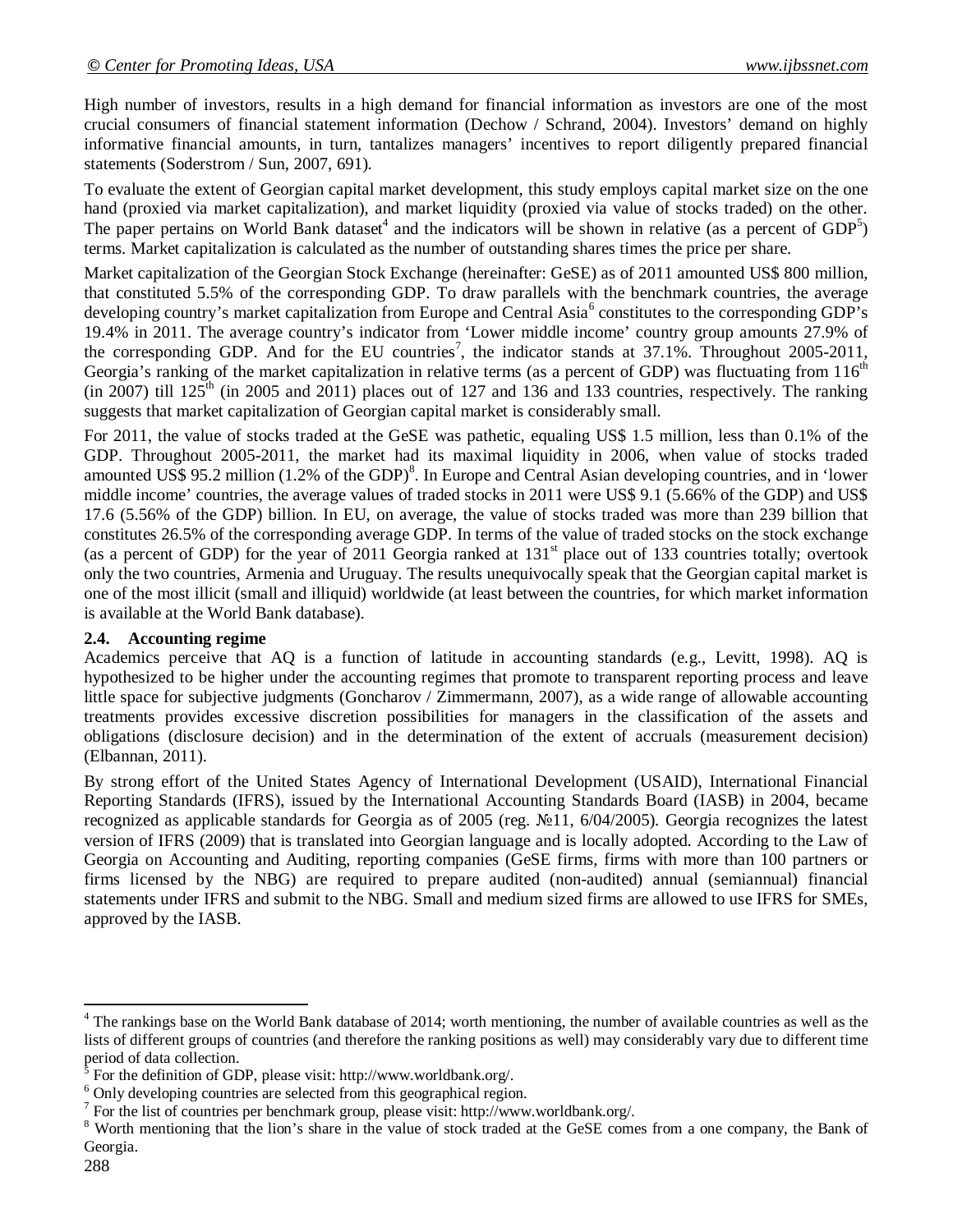High number of investors, results in a high demand for financial information as investors are one of the most crucial consumers of financial statement information (Dechow / Schrand, 2004). Investors' demand on highly informative financial amounts, in turn, tantalizes managers' incentives to report diligently prepared financial statements (Soderstrom / Sun, 2007, 691).

To evaluate the extent of Georgian capital market development, this study employs capital market size on the one hand (proxied via market capitalization), and market liquidity (proxied via value of stocks traded) on the other. The paper pertains on World Bank dataset<sup>4</sup> and the indicators will be shown in relative (as a percent of  $GDP<sup>5</sup>$ ) terms. Market capitalization is calculated as the number of outstanding shares times the price per share.

Market capitalization of the Georgian Stock Exchange (hereinafter: GeSE) as of 2011 amounted US\$ 800 million, that constituted 5.5% of the corresponding GDP. To draw parallels with the benchmark countries, the average developing country's market capitalization from Europe and Central Asia<sup>6</sup> constitutes to the corresponding GDP's 19.4% in 2011. The average country's indicator from 'Lower middle income' country group amounts 27.9% of the corresponding GDP. And for the EU countries<sup>7</sup>, the indicator stands at  $37.1\%$ . Throughout 2005-2011, Georgia's ranking of the market capitalization in relative terms (as a percent of GDP) was fluctuating from 116<sup>th</sup> (in 2007) till  $125<sup>th</sup>$  (in 2005 and 2011) places out of 127 and 136 and 133 countries, respectively. The ranking suggests that market capitalization of Georgian capital market is considerably small.

For 2011, the value of stocks traded at the GeSE was pathetic, equaling US\$ 1.5 million, less than 0.1% of the GDP. Throughout 2005-2011, the market had its maximal liquidity in 2006, when value of stocks traded amounted US\$ 95.2 million (1.2% of the GDP)<sup>8</sup>. In Europe and Central Asian developing countries, and in 'lower middle income' countries, the average values of traded stocks in 2011 were US\$ 9.1 (5.66% of the GDP) and US\$ 17.6 (5.56% of the GDP) billion. In EU, on average, the value of stocks traded was more than 239 billion that constitutes 26.5% of the corresponding average GDP. In terms of the value of traded stocks on the stock exchange (as a percent of GDP) for the year of 2011 Georgia ranked at  $131<sup>st</sup>$  place out of 133 countries totally; overtook only the two countries, Armenia and Uruguay. The results unequivocally speak that the Georgian capital market is one of the most illicit (small and illiquid) worldwide (at least between the countries, for which market information is available at the World Bank database).

# **2.4. Accounting regime**

Academics perceive that AQ is a function of latitude in accounting standards (e.g., Levitt, 1998). AQ is hypothesized to be higher under the accounting regimes that promote to transparent reporting process and leave little space for subjective judgments (Goncharov / Zimmermann, 2007), as a wide range of allowable accounting treatments provides excessive discretion possibilities for managers in the classification of the assets and obligations (disclosure decision) and in the determination of the extent of accruals (measurement decision) (Elbannan, 2011).

By strong effort of the United States Agency of International Development (USAID), International Financial Reporting Standards (IFRS), issued by the International Accounting Standards Board (IASB) in 2004, became recognized as applicable standards for Georgia as of 2005 (reg. №11, 6/04/2005). Georgia recognizes the latest version of IFRS (2009) that is translated into Georgian language and is locally adopted. According to the Law of Georgia on Accounting and Auditing, reporting companies (GeSE firms, firms with more than 100 partners or firms licensed by the NBG) are required to prepare audited (non-audited) annual (semiannual) financial statements under IFRS and submit to the NBG. Small and medium sized firms are allowed to use IFRS for SMEs, approved by the IASB.

 $\overline{\phantom{a}}$ 

 $<sup>4</sup>$  The rankings base on the World Bank database of 2014; worth mentioning, the number of available countries as well as the</sup> lists of different groups of countries (and therefore the ranking positions as well) may considerably vary due to different time period of data collection.

<sup>5</sup> For the definition of GDP, please visit: http://www.worldbank.org/.

<sup>6</sup> Only developing countries are selected from this geographical region.

<sup>7</sup> For the list of countries per benchmark group, please visit: http://www.worldbank.org/.

<sup>&</sup>lt;sup>8</sup> Worth mentioning that the lion's share in the value of stock traded at the GeSE comes from a one company, the Bank of Georgia.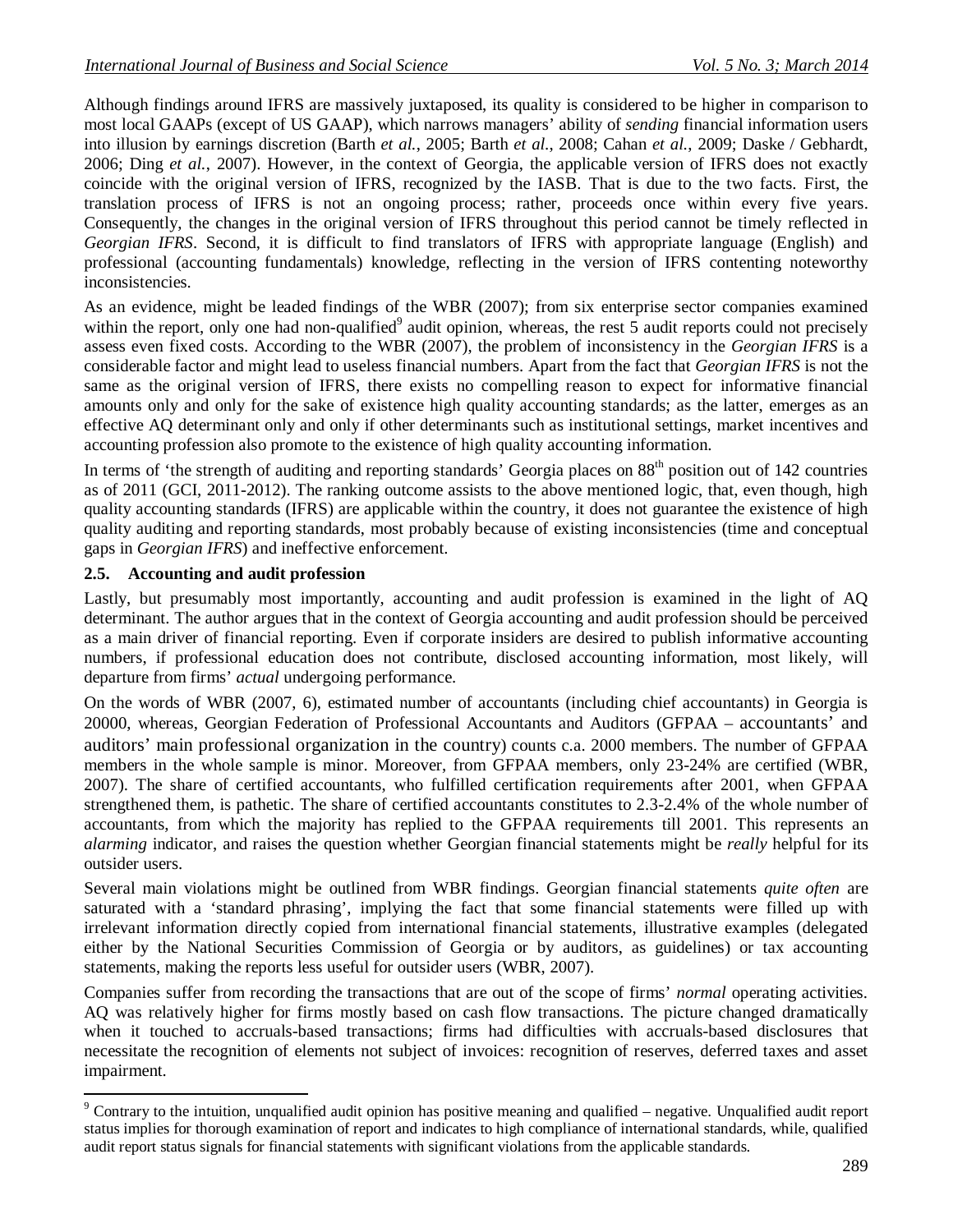Although findings around IFRS are massively juxtaposed, its quality is considered to be higher in comparison to most local GAAPs (except of US GAAP), which narrows managers' ability of *sending* financial information users into illusion by earnings discretion (Barth *et al.*, 2005; Barth *et al.*, 2008; Cahan *et al.*, 2009; Daske / Gebhardt, 2006; Ding *et al.*, 2007). However, in the context of Georgia, the applicable version of IFRS does not exactly coincide with the original version of IFRS, recognized by the IASB. That is due to the two facts. First, the translation process of IFRS is not an ongoing process; rather, proceeds once within every five years. Consequently, the changes in the original version of IFRS throughout this period cannot be timely reflected in *Georgian IFRS*. Second, it is difficult to find translators of IFRS with appropriate language (English) and professional (accounting fundamentals) knowledge, reflecting in the version of IFRS contenting noteworthy inconsistencies.

As an evidence, might be leaded findings of the WBR (2007); from six enterprise sector companies examined within the report, only one had non-qualified $9$  audit opinion, whereas, the rest 5 audit reports could not precisely assess even fixed costs. According to the WBR (2007), the problem of inconsistency in the *Georgian IFRS* is a considerable factor and might lead to useless financial numbers. Apart from the fact that *Georgian IFRS* is not the same as the original version of IFRS, there exists no compelling reason to expect for informative financial amounts only and only for the sake of existence high quality accounting standards; as the latter, emerges as an effective AQ determinant only and only if other determinants such as institutional settings, market incentives and accounting profession also promote to the existence of high quality accounting information.

In terms of 'the strength of auditing and reporting standards' Georgia places on 88<sup>th</sup> position out of 142 countries as of 2011 (GCI, 2011-2012). The ranking outcome assists to the above mentioned logic, that, even though, high quality accounting standards (IFRS) are applicable within the country, it does not guarantee the existence of high quality auditing and reporting standards, most probably because of existing inconsistencies (time and conceptual gaps in *Georgian IFRS*) and ineffective enforcement.

# **2.5. Accounting and audit profession**

Lastly, but presumably most importantly, accounting and audit profession is examined in the light of AQ determinant. The author argues that in the context of Georgia accounting and audit profession should be perceived as a main driver of financial reporting. Even if corporate insiders are desired to publish informative accounting numbers, if professional education does not contribute, disclosed accounting information, most likely, will departure from firms' *actual* undergoing performance.

On the words of WBR (2007, 6), estimated number of accountants (including chief accountants) in Georgia is 20000, whereas, Georgian Federation of Professional Accountants and Auditors (GFPAA – accountants' and auditors' main professional organization in the country) counts c.a. 2000 members. The number of GFPAA members in the whole sample is minor. Moreover, from GFPAA members, only 23-24% are certified (WBR, 2007). The share of certified accountants, who fulfilled certification requirements after 2001, when GFPAA strengthened them, is pathetic. The share of certified accountants constitutes to 2.3-2.4% of the whole number of accountants, from which the majority has replied to the GFPAA requirements till 2001. This represents an *alarming* indicator, and raises the question whether Georgian financial statements might be *really* helpful for its outsider users.

Several main violations might be outlined from WBR findings. Georgian financial statements *quite often* are saturated with a 'standard phrasing', implying the fact that some financial statements were filled up with irrelevant information directly copied from international financial statements, illustrative examples (delegated either by the National Securities Commission of Georgia or by auditors, as guidelines) or tax accounting statements, making the reports less useful for outsider users (WBR, 2007).

Companies suffer from recording the transactions that are out of the scope of firms' *normal* operating activities. AQ was relatively higher for firms mostly based on cash flow transactions. The picture changed dramatically when it touched to accruals-based transactions; firms had difficulties with accruals-based disclosures that necessitate the recognition of elements not subject of invoices: recognition of reserves, deferred taxes and asset impairment.

 $\overline{\phantom{a}}$ <sup>9</sup> Contrary to the intuition, unqualified audit opinion has positive meaning and qualified – negative. Unqualified audit report status implies for thorough examination of report and indicates to high compliance of international standards, while, qualified audit report status signals for financial statements with significant violations from the applicable standards.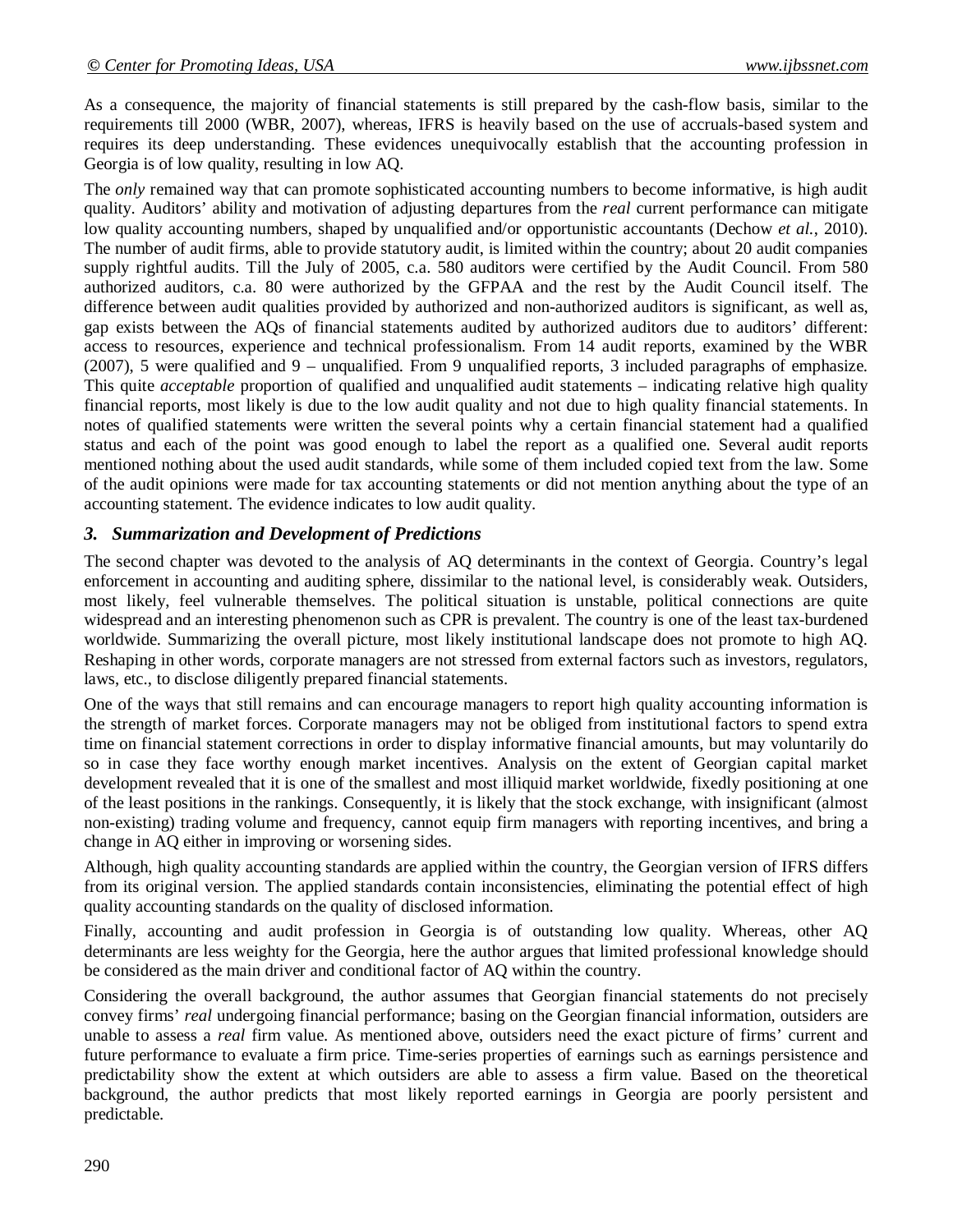As a consequence, the majority of financial statements is still prepared by the cash-flow basis, similar to the requirements till 2000 (WBR, 2007), whereas, IFRS is heavily based on the use of accruals-based system and requires its deep understanding. These evidences unequivocally establish that the accounting profession in Georgia is of low quality, resulting in low AQ.

The *only* remained way that can promote sophisticated accounting numbers to become informative, is high audit quality. Auditors' ability and motivation of adjusting departures from the *real* current performance can mitigate low quality accounting numbers, shaped by unqualified and/or opportunistic accountants (Dechow *et al.*, 2010). The number of audit firms, able to provide statutory audit, is limited within the country; about 20 audit companies supply rightful audits. Till the July of 2005, c.a. 580 auditors were certified by the Audit Council. From 580 authorized auditors, c.a. 80 were authorized by the GFPAA and the rest by the Audit Council itself. The difference between audit qualities provided by authorized and non-authorized auditors is significant, as well as, gap exists between the AQs of financial statements audited by authorized auditors due to auditors' different: access to resources, experience and technical professionalism. From 14 audit reports, examined by the WBR (2007), 5 were qualified and 9 – unqualified. From 9 unqualified reports, 3 included paragraphs of emphasize. This quite *acceptable* proportion of qualified and unqualified audit statements – indicating relative high quality financial reports, most likely is due to the low audit quality and not due to high quality financial statements. In notes of qualified statements were written the several points why a certain financial statement had a qualified status and each of the point was good enough to label the report as a qualified one. Several audit reports mentioned nothing about the used audit standards, while some of them included copied text from the law. Some of the audit opinions were made for tax accounting statements or did not mention anything about the type of an accounting statement. The evidence indicates to low audit quality.

# *3. Summarization and Development of Predictions*

The second chapter was devoted to the analysis of AQ determinants in the context of Georgia. Country's legal enforcement in accounting and auditing sphere, dissimilar to the national level, is considerably weak. Outsiders, most likely, feel vulnerable themselves. The political situation is unstable, political connections are quite widespread and an interesting phenomenon such as CPR is prevalent. The country is one of the least tax-burdened worldwide. Summarizing the overall picture, most likely institutional landscape does not promote to high AQ. Reshaping in other words, corporate managers are not stressed from external factors such as investors, regulators, laws, etc., to disclose diligently prepared financial statements.

One of the ways that still remains and can encourage managers to report high quality accounting information is the strength of market forces. Corporate managers may not be obliged from institutional factors to spend extra time on financial statement corrections in order to display informative financial amounts, but may voluntarily do so in case they face worthy enough market incentives. Analysis on the extent of Georgian capital market development revealed that it is one of the smallest and most illiquid market worldwide, fixedly positioning at one of the least positions in the rankings. Consequently, it is likely that the stock exchange, with insignificant (almost non-existing) trading volume and frequency, cannot equip firm managers with reporting incentives, and bring a change in AQ either in improving or worsening sides.

Although, high quality accounting standards are applied within the country, the Georgian version of IFRS differs from its original version. The applied standards contain inconsistencies, eliminating the potential effect of high quality accounting standards on the quality of disclosed information.

Finally, accounting and audit profession in Georgia is of outstanding low quality. Whereas, other AQ determinants are less weighty for the Georgia, here the author argues that limited professional knowledge should be considered as the main driver and conditional factor of AQ within the country.

Considering the overall background, the author assumes that Georgian financial statements do not precisely convey firms' *real* undergoing financial performance; basing on the Georgian financial information, outsiders are unable to assess a *real* firm value. As mentioned above, outsiders need the exact picture of firms' current and future performance to evaluate a firm price. Time-series properties of earnings such as earnings persistence and predictability show the extent at which outsiders are able to assess a firm value. Based on the theoretical background, the author predicts that most likely reported earnings in Georgia are poorly persistent and predictable.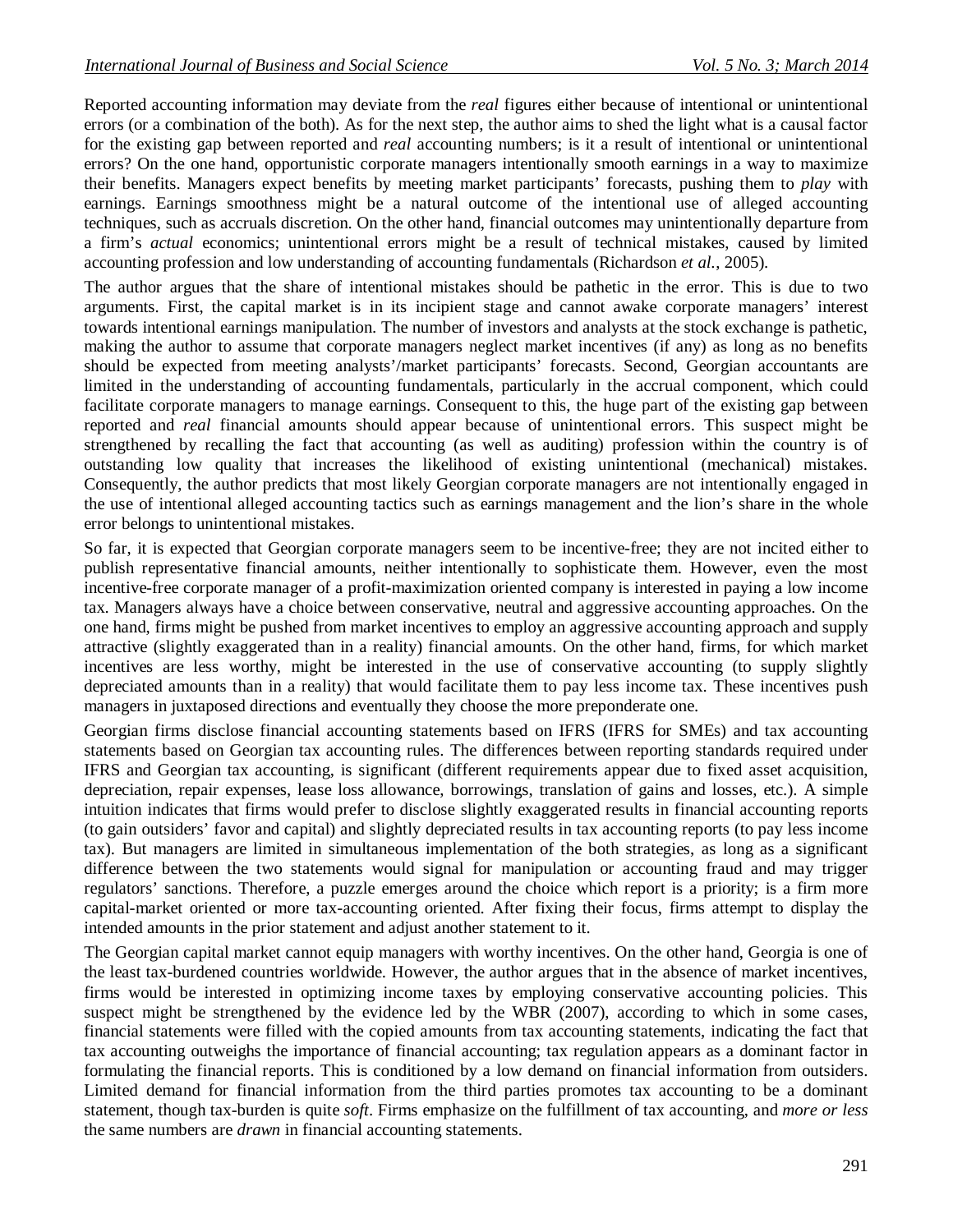Reported accounting information may deviate from the *real* figures either because of intentional or unintentional errors (or a combination of the both). As for the next step, the author aims to shed the light what is a causal factor for the existing gap between reported and *real* accounting numbers; is it a result of intentional or unintentional errors? On the one hand, opportunistic corporate managers intentionally smooth earnings in a way to maximize their benefits. Managers expect benefits by meeting market participants' forecasts, pushing them to *play* with earnings. Earnings smoothness might be a natural outcome of the intentional use of alleged accounting techniques, such as accruals discretion. On the other hand, financial outcomes may unintentionally departure from a firm's *actual* economics; unintentional errors might be a result of technical mistakes, caused by limited accounting profession and low understanding of accounting fundamentals (Richardson *et al.*, 2005).

The author argues that the share of intentional mistakes should be pathetic in the error. This is due to two arguments. First, the capital market is in its incipient stage and cannot awake corporate managers' interest towards intentional earnings manipulation. The number of investors and analysts at the stock exchange is pathetic, making the author to assume that corporate managers neglect market incentives (if any) as long as no benefits should be expected from meeting analysts'/market participants' forecasts. Second, Georgian accountants are limited in the understanding of accounting fundamentals, particularly in the accrual component, which could facilitate corporate managers to manage earnings. Consequent to this, the huge part of the existing gap between reported and *real* financial amounts should appear because of unintentional errors. This suspect might be strengthened by recalling the fact that accounting (as well as auditing) profession within the country is of outstanding low quality that increases the likelihood of existing unintentional (mechanical) mistakes. Consequently, the author predicts that most likely Georgian corporate managers are not intentionally engaged in the use of intentional alleged accounting tactics such as earnings management and the lion's share in the whole error belongs to unintentional mistakes.

So far, it is expected that Georgian corporate managers seem to be incentive-free; they are not incited either to publish representative financial amounts, neither intentionally to sophisticate them. However, even the most incentive-free corporate manager of a profit-maximization oriented company is interested in paying a low income tax. Managers always have a choice between conservative, neutral and aggressive accounting approaches. On the one hand, firms might be pushed from market incentives to employ an aggressive accounting approach and supply attractive (slightly exaggerated than in a reality) financial amounts. On the other hand, firms, for which market incentives are less worthy, might be interested in the use of conservative accounting (to supply slightly depreciated amounts than in a reality) that would facilitate them to pay less income tax. These incentives push managers in juxtaposed directions and eventually they choose the more preponderate one.

Georgian firms disclose financial accounting statements based on IFRS (IFRS for SMEs) and tax accounting statements based on Georgian tax accounting rules. The differences between reporting standards required under IFRS and Georgian tax accounting, is significant (different requirements appear due to fixed asset acquisition, depreciation, repair expenses, lease loss allowance, borrowings, translation of gains and losses, etc.). A simple intuition indicates that firms would prefer to disclose slightly exaggerated results in financial accounting reports (to gain outsiders' favor and capital) and slightly depreciated results in tax accounting reports (to pay less income tax). But managers are limited in simultaneous implementation of the both strategies, as long as a significant difference between the two statements would signal for manipulation or accounting fraud and may trigger regulators' sanctions. Therefore, a puzzle emerges around the choice which report is a priority; is a firm more capital-market oriented or more tax-accounting oriented. After fixing their focus, firms attempt to display the intended amounts in the prior statement and adjust another statement to it.

The Georgian capital market cannot equip managers with worthy incentives. On the other hand, Georgia is one of the least tax-burdened countries worldwide. However, the author argues that in the absence of market incentives, firms would be interested in optimizing income taxes by employing conservative accounting policies. This suspect might be strengthened by the evidence led by the WBR (2007), according to which in some cases, financial statements were filled with the copied amounts from tax accounting statements, indicating the fact that tax accounting outweighs the importance of financial accounting; tax regulation appears as a dominant factor in formulating the financial reports. This is conditioned by a low demand on financial information from outsiders. Limited demand for financial information from the third parties promotes tax accounting to be a dominant statement, though tax-burden is quite *soft*. Firms emphasize on the fulfillment of tax accounting, and *more or less* the same numbers are *drawn* in financial accounting statements.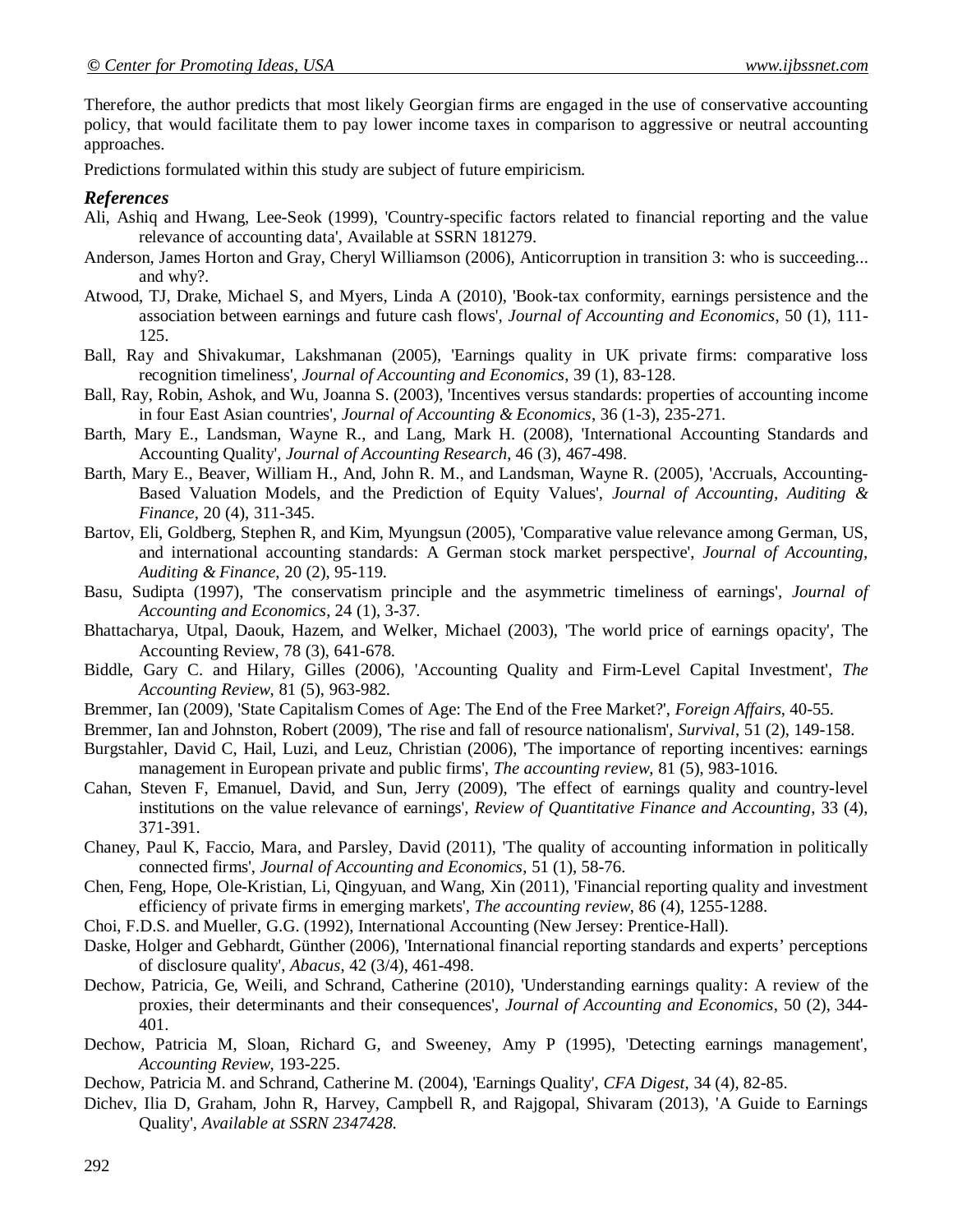Therefore, the author predicts that most likely Georgian firms are engaged in the use of conservative accounting policy, that would facilitate them to pay lower income taxes in comparison to aggressive or neutral accounting approaches.

Predictions formulated within this study are subject of future empiricism.

# *References*

- Ali, Ashiq and Hwang, Lee-Seok (1999), 'Country-specific factors related to financial reporting and the value relevance of accounting data', Available at SSRN 181279.
- Anderson, James Horton and Gray, Cheryl Williamson (2006), Anticorruption in transition 3: who is succeeding... and why?.
- Atwood, TJ, Drake, Michael S, and Myers, Linda A (2010), 'Book-tax conformity, earnings persistence and the association between earnings and future cash flows', *Journal of Accounting and Economics*, 50 (1), 111- 125.
- Ball, Ray and Shivakumar, Lakshmanan (2005), 'Earnings quality in UK private firms: comparative loss recognition timeliness', *Journal of Accounting and Economics*, 39 (1), 83-128.
- Ball, Ray, Robin, Ashok, and Wu, Joanna S. (2003), 'Incentives versus standards: properties of accounting income in four East Asian countries', *Journal of Accounting & Economics*, 36 (1-3), 235-271.
- Barth, Mary E., Landsman, Wayne R., and Lang, Mark H. (2008), 'International Accounting Standards and Accounting Quality', *Journal of Accounting Research*, 46 (3), 467-498.
- Barth, Mary E., Beaver, William H., And, John R. M., and Landsman, Wayne R. (2005), 'Accruals, Accounting-Based Valuation Models, and the Prediction of Equity Values', *Journal of Accounting, Auditing & Finance*, 20 (4), 311-345.
- Bartov, Eli, Goldberg, Stephen R, and Kim, Myungsun (2005), 'Comparative value relevance among German, US, and international accounting standards: A German stock market perspective', *Journal of Accounting, Auditing & Finance*, 20 (2), 95-119.
- Basu, Sudipta (1997), 'The conservatism principle and the asymmetric timeliness of earnings', *Journal of Accounting and Economics*, 24 (1), 3-37.
- Bhattacharya, Utpal, Daouk, Hazem, and Welker, Michael (2003), 'The world price of earnings opacity', The Accounting Review, 78 (3), 641-678.
- Biddle, Gary C. and Hilary, Gilles (2006), 'Accounting Quality and Firm-Level Capital Investment', *The Accounting Review*, 81 (5), 963-982.
- Bremmer, Ian (2009), 'State Capitalism Comes of Age: The End of the Free Market?', *Foreign Affairs*, 40-55.
- Bremmer, Ian and Johnston, Robert (2009), 'The rise and fall of resource nationalism', *Survival*, 51 (2), 149-158.
- Burgstahler, David C, Hail, Luzi, and Leuz, Christian (2006), The importance of reporting incentives: earnings management in European private and public firms', *The accounting review*, 81 (5), 983-1016.
- Cahan, Steven F, Emanuel, David, and Sun, Jerry (2009), 'The effect of earnings quality and country-level institutions on the value relevance of earnings', *Review of Quantitative Finance and Accounting*, 33 (4), 371-391.
- Chaney, Paul K, Faccio, Mara, and Parsley, David (2011), 'The quality of accounting information in politically connected firms', *Journal of Accounting and Economics*, 51 (1), 58-76.
- Chen, Feng, Hope, Ole-Kristian, Li, Qingyuan, and Wang, Xin (2011), 'Financial reporting quality and investment efficiency of private firms in emerging markets', *The accounting review*, 86 (4), 1255-1288.
- Choi, F.D.S. and Mueller, G.G. (1992), International Accounting (New Jersey: Prentice-Hall).
- Daske, Holger and Gebhardt, Günther (2006), 'International financial reporting standards and experts' perceptions of disclosure quality', *Abacus*, 42 (3/4), 461-498.
- Dechow, Patricia, Ge, Weili, and Schrand, Catherine (2010), 'Understanding earnings quality: A review of the proxies, their determinants and their consequences', *Journal of Accounting and Economics*, 50 (2), 344- 401.
- Dechow, Patricia M, Sloan, Richard G, and Sweeney, Amy P (1995), 'Detecting earnings management', *Accounting Review*, 193-225.
- Dechow, Patricia M. and Schrand, Catherine M. (2004), 'Earnings Quality', *CFA Digest*, 34 (4), 82-85.
- Dichev, Ilia D, Graham, John R, Harvey, Campbell R, and Rajgopal, Shivaram (2013), 'A Guide to Earnings Quality', *Available at SSRN 2347428*.